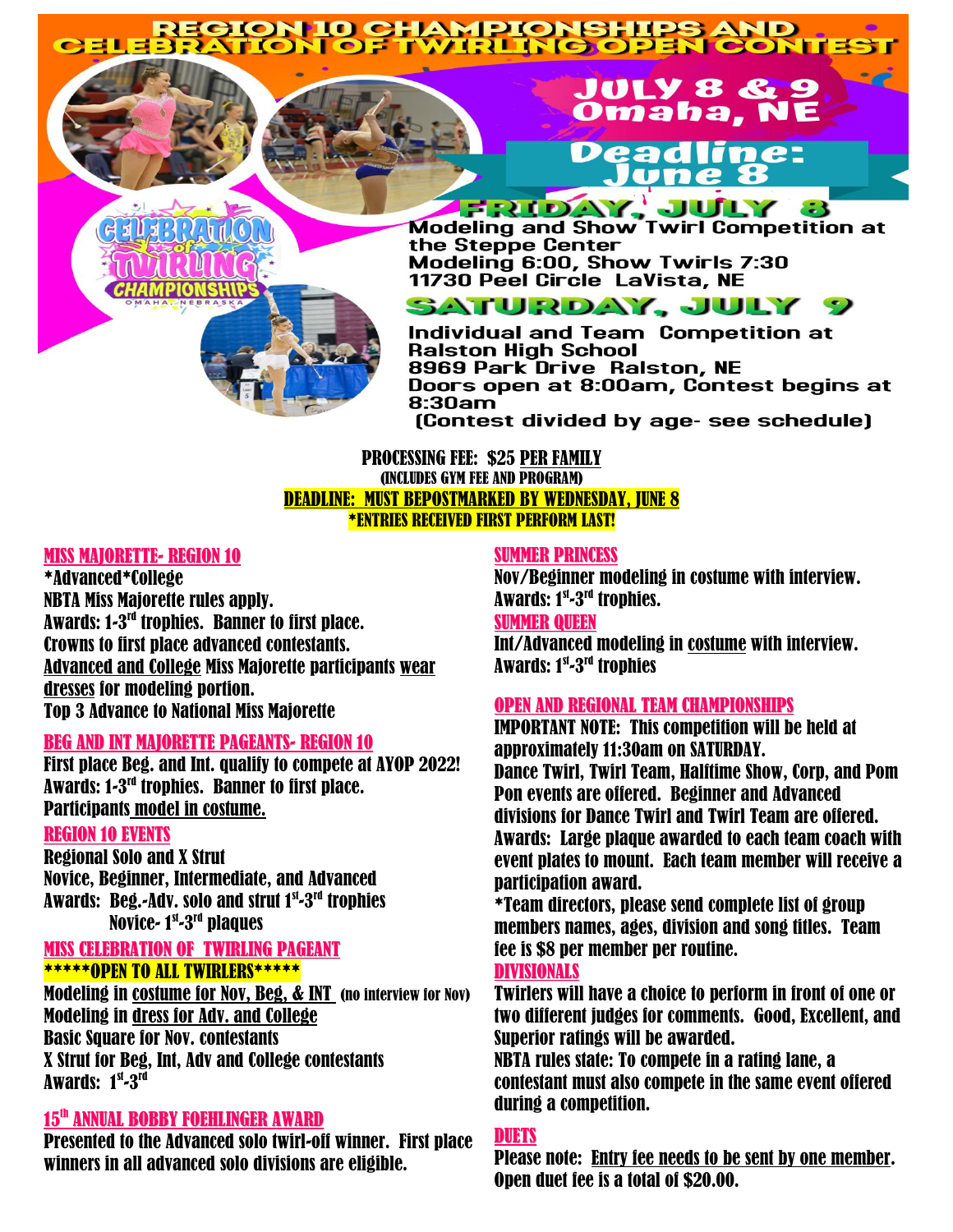# REGION IO CHAMPIONSHIPS AND<br>BRATION OF TWIRLING OPEN CONTI

## JULY 8 & Omaha, NE Deadline: lune 8

*CHAMPIO* 

**FRIDAY, JULY 3**<br>Modeling and Show Twirl Competition at the Steppe Center Modeling 6:00, Show Twirls 7:30<br>11730 Peel Circle LaVista, NE

## SATURDAY, JULY

Individual and Team Competition at **Ralston High School** 8969 Park Drive Ralston, NE Doors open at 8:00am, Contest begins at  $8:30$ am

(Contest divided by age- see schedule)

#### PROCESSING FEE: \$25 PER FAMILY (INCLUDES GYM FEE AND PROGRAM) DEADLINE: MUST BEPOSTMARKED BY WEDNESDAY, JUNE 8 \*ENTRIES RECEIVED FIRST PERFORM LAST!

#### **MISS MAJORETTE- REGION 10**

\*Advanced\*College NBTA Miss Majorette rules apply. Awards: 1-3<sup>rd</sup> trophies. Banner to first place. Crowns to first place advanced contestants. Advanced and College Miss Majorette participants wear dresses for modeling portion. Top 3 Advance to National Miss Majorette

#### BEG AND INT MAJORETTE PAGEANTS- REGION 10

First place Beg. and Int. qualify to compete at AYOP 2022! Awards: 1-3<sup>rd</sup> trophies. Banner to first place. Participants model in costume.

#### REGION 10 EVENTS

Regional Solo and X Strut Novice, Beginner, Intermediate, and Advanced Awards: Beg.-Adv. solo and strut 1st-3rd trophies Novice- 1st-3<sup>rd</sup> plaques

#### MISS CELEBRATION OF TWIRLING PAGEANT \*\*\*\*\*OPEN TO ALL TWIRLERS\*\*\*\*\*

Modeling in costume for Nov, Beg, & INT (no interview for Nov) Modeling in dress for Adv. and College Basic Square for Nov. contestants X Strut for Beg, Int, Adv and College contestants Awards: 1<sup>st</sup>-3<sup>rd</sup>

#### 15<sup>th</sup> ANNUAL BOBBY FOEHLINGER AWARD

Presented to the Advanced solo twirl-off winner. First place winners in all advanced solo divisions are eligible.

#### SUMMER PRINCESS

Nov/Beginner modeling in costume with interview. Awards: 1<sup>st</sup>-3<sup>rd</sup> trophies.

#### SUMMER QUEEN

Int/Advanced modeling in costume with interview. Awards: 1<sup>st</sup>-3<sup>rd</sup> trophies

#### OPEN AND REGIONAL TEAM CHAMPIONSHIPS

IMPORTANT NOTE: This competition will be held at approximately 11:30am on SATURDAY. Dance Twirl, Twirl Team, Halftime Show, Corp, and Pom Pon events are offered. Beginner and Advanced divisions for Dance Twirl and Twirl Team are offered. Awards: Large plaque awarded to each team coach with event plates to mount. Each team member will receive a participation award.

\*Team directors, please send complete list of group members names, ages, division and song titles. Team fee is \$8 per member per routine.

#### DIVISIONALS

Twirlers will have a choice to perform in front of one or two different judges for comments. Good, Excellent, and Superior ratings will be awarded.

NBTA rules state: To compete in a rating lane, a contestant must also compete in the same event offered during a competition.

#### DUETS

Please note: Entry fee needs to be sent by one member. Open duet fee is a total of \$20.00.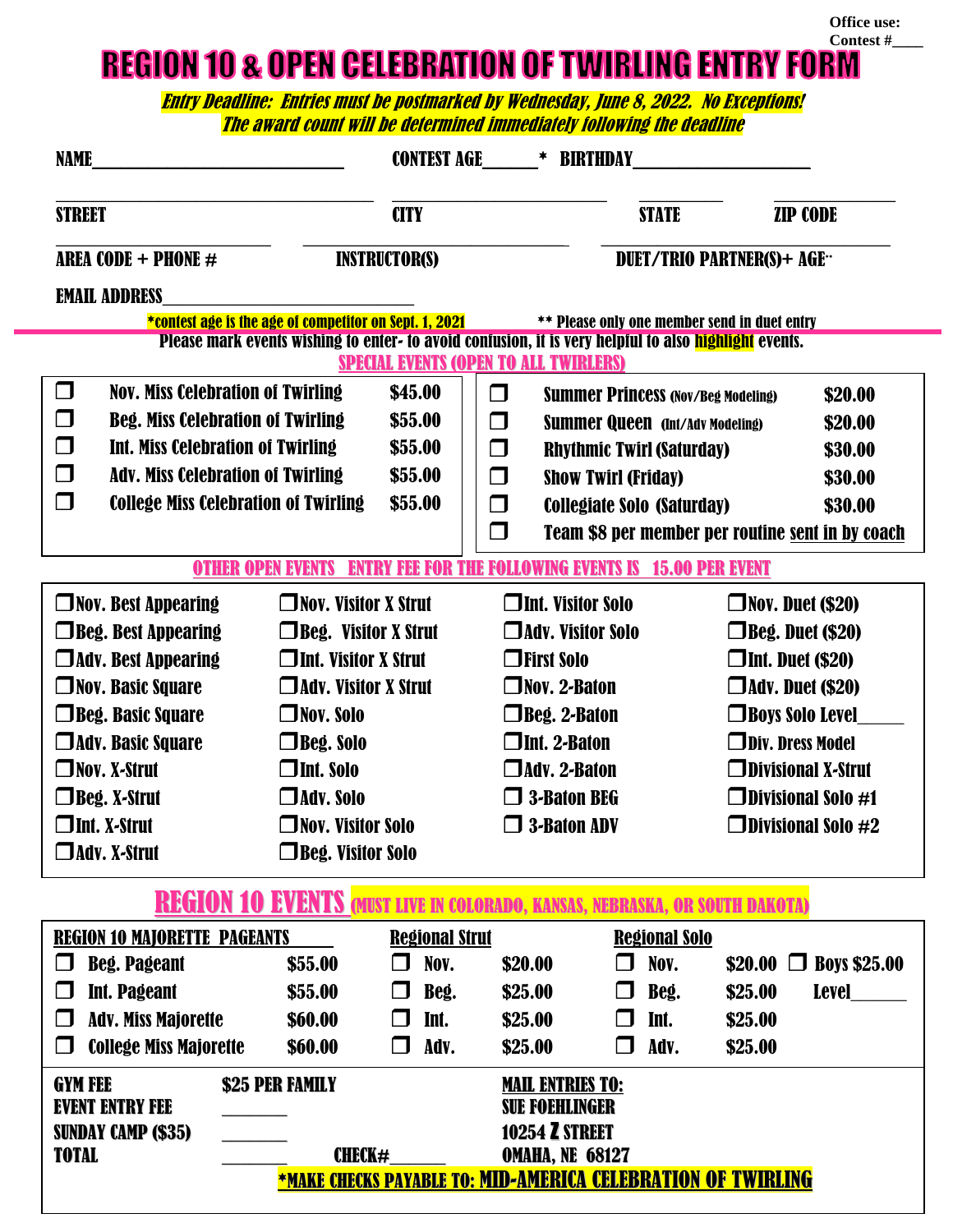**REGION 10 & OPEN CELEBRATION OF TWIRLING ENTRY FORM** 

**Office use:**

Entry Deadline: Entries must be postmarked by Wednesday, June 8, 2022. No Exceptions! The award count will be determined immediately following the deadline

| <b>NAME</b>                                                                                                                                           |                                          | <b>CONTEST AGE</b><br>* BIRTHDAY                           |                                                   |                                                  |                              |                     |  |  |
|-------------------------------------------------------------------------------------------------------------------------------------------------------|------------------------------------------|------------------------------------------------------------|---------------------------------------------------|--------------------------------------------------|------------------------------|---------------------|--|--|
| <b>STREET</b>                                                                                                                                         |                                          | <b>CITY</b>                                                |                                                   | <b>STATE</b>                                     | <b>ZIP CODE</b>              |                     |  |  |
| <b>AREA CODE + PHONE <math>#</math></b>                                                                                                               |                                          | <b>INSTRUCTOR(S)</b><br><b>DUET/TRIO PARTNER(S)+ AGE**</b> |                                                   |                                                  |                              |                     |  |  |
| <b>EMAIL ADDRESS</b>                                                                                                                                  |                                          |                                                            |                                                   |                                                  |                              |                     |  |  |
| *contest age is the age of competitor on Sept. 1, 2021<br><b>** Please only one member send in duet entry</b>                                         |                                          |                                                            |                                                   |                                                  |                              |                     |  |  |
| Please mark events wishing to enter- to avoid confusion, it is very helpful to also highlight events.<br><b>SPECIAL EVENTS (OPEN TO ALL TWIRLERS)</b> |                                          |                                                            |                                                   |                                                  |                              |                     |  |  |
| $\Box$                                                                                                                                                | <b>Nov. Miss Celebration of Twirling</b> |                                                            | □<br><b>Summer Princess (Nov/Beg Modeling)</b>    |                                                  | \$20.00                      |                     |  |  |
| $\Box$<br><b>Beg. Miss Celebration of Twirling</b>                                                                                                    | \$55.00                                  | □                                                          | <b>Summer Queen (Int/Adv Modeling)</b><br>\$20.00 |                                                  |                              |                     |  |  |
| $\Box$<br><b>Int. Miss Celebration of Twirling</b>                                                                                                    |                                          | \$55.00                                                    | $\Box$                                            | <b>Rhythmic Twirl (Saturday)</b><br>\$30.00      |                              |                     |  |  |
| $\Box$<br><b>Adv. Miss Celebration of Twirling</b>                                                                                                    |                                          | \$55.00                                                    | $\Box$                                            | <b>Show Twirl (Friday)</b><br>\$30.00            |                              |                     |  |  |
| $\Box$<br><b>College Miss Celebration of Twirling</b>                                                                                                 |                                          | \$55.00                                                    | $\Box$                                            | Collegiate Solo (Saturday)<br>\$30.00            |                              |                     |  |  |
|                                                                                                                                                       |                                          |                                                            | $\Box$                                            | Team \$8 per member per routine sent in by coach |                              |                     |  |  |
| <b>OTHER OPEN EVENTS</b><br><b>ENTRY FEE FOR THE FOLLOWING EVENTS IS 15.00 PER EVENT</b>                                                              |                                          |                                                            |                                                   |                                                  |                              |                     |  |  |
| $\Box$ Nov. Best Appearing<br>$\Box$ Nov. Visitor X Strut                                                                                             |                                          |                                                            | $\square$ Int. Visitor Solo                       |                                                  | $\square$ Nov. Duet (\$20)   |                     |  |  |
| $\Box$ Beg. Best Appearing<br>$\Box$ Beg. Visitor X Strut                                                                                             |                                          |                                                            | $\Box$ Adv. Visitor Solo                          |                                                  | $\Box$ Beg. Duet (\$20)      |                     |  |  |
| $\Box$ Adv. Best Appearing<br>$\square$ Int. Visitor X Strut                                                                                          |                                          | $\Box$ First Solo                                          |                                                   |                                                  | $\Box$ Int. Duet (\$20)      |                     |  |  |
| $\Box$ Nov. Basic Square<br>$\Box$ Adv. Visitor X Strut                                                                                               |                                          | $\square$ Nov. 2-Baton                                     |                                                   |                                                  | $\Box$ Adv. Duet (\$20)      |                     |  |  |
| $\Box$ Beg. Basic Square                                                                                                                              | $\square$ Nov. Solo                      |                                                            | $\Box$ Beg. 2-Baton                               |                                                  | $\Box$ Boys Solo Level       |                     |  |  |
| □ Adv. Basic Square                                                                                                                                   | $\Box$ Beg. Solo                         |                                                            | $\Box$ Int. 2-Baton                               |                                                  | $\square$ Div. Dress Model   |                     |  |  |
| $\Box$ Nov. X-Strut                                                                                                                                   | $\Box$ Int. Solo                         |                                                            | $\square$ Adv. 2-Baton                            |                                                  | $\Box$ Divisional X-Strut    |                     |  |  |
| $\Box$ Beg. X-Strut<br>$\Box$ Adv. Solo                                                                                                               |                                          |                                                            | $\Box$ 3-Baton BEG                                |                                                  | $\square$ Divisional Solo #1 |                     |  |  |
| $\Box$ Int. X-Strut<br>$\square$ Nov. Visitor Solo                                                                                                    |                                          | $\Box$ 3-Baton ADV                                         |                                                   |                                                  | $\Box$ Divisional Solo #2    |                     |  |  |
| JAdv. X-Strut                                                                                                                                         | □Beg. Visitor Solo                       |                                                            |                                                   |                                                  |                              |                     |  |  |
| REGION 10 EVENTS (MUST LIVE IN COLORADO, KANSAS, NEBRASKA, OR SOUTH DAKOTA)                                                                           |                                          |                                                            |                                                   |                                                  |                              |                     |  |  |
| <b>REGION 10 MAJORETTE PAGEANTS</b>                                                                                                                   |                                          | <b>Regional Strut</b>                                      |                                                   | <b>Regional Solo</b>                             |                              |                     |  |  |
| <b>Beg. Pageant</b>                                                                                                                                   | \$55.00                                  | Nov.<br>$\Box$                                             | \$20.00                                           | Nov.<br>I,                                       | $$20.00$ $\Box$              | <b>Boys \$25.00</b> |  |  |
| <b>Int. Pageant</b>                                                                                                                                   | \$55.00                                  | Beg.<br>$\Box$                                             | \$25.00                                           | Beg.<br>l 1                                      | \$25.00                      | <b>Level</b>        |  |  |
| <b>Adv. Miss Majorette</b><br>$\Box$                                                                                                                  | \$60.00                                  | Int.<br>$\Box$                                             | \$25.00                                           | Int.<br>$\Box$                                   | \$25.00                      |                     |  |  |
| <b>College Miss Majorette</b>                                                                                                                         | \$60.00                                  | Adv.<br>$\Box$                                             | \$25.00                                           | Adv.<br>$\Box$                                   | \$25.00                      |                     |  |  |
| <b>GYM FEE</b><br>\$25 PER FAMILY                                                                                                                     |                                          |                                                            | <b>MAIL ENTRIES TO:</b>                           |                                                  |                              |                     |  |  |
| <b>EVENT ENTRY FEE</b>                                                                                                                                |                                          |                                                            | <b>SUE FOEHLINGER</b>                             |                                                  |                              |                     |  |  |
| <b>SUNDAY CAMP (\$35)</b>                                                                                                                             |                                          |                                                            | <b>10254 Z STREET</b>                             |                                                  |                              |                     |  |  |
| <b>TOTAL</b><br>CHECK#<br><b>OMAHA, NE 68127</b><br>*MAKE CHECKS PAYABLE TO: MID-AMERICA CELEBRATION OF TWIRLING                                      |                                          |                                                            |                                                   |                                                  |                              |                     |  |  |
|                                                                                                                                                       |                                          |                                                            |                                                   |                                                  |                              |                     |  |  |